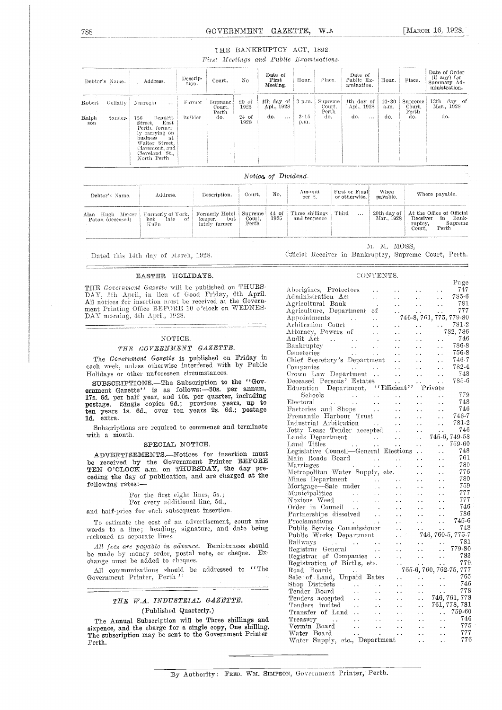[MARCH 16, 1928.

#### THE BANKRUPTCY ACT, 1892.

First Meetings and Public Examinations.

| Debtor's Name.         |                       | Address.                                                                                                                                                                            | Descrip-<br>tion. | Court.                             | No                                 | Date of<br>First<br>Meeting.                | Hour.                                  | Place.                              | Date of<br>Public Ex-<br>amination.         | Hour.                        | Place.                            | Date of Order<br>$(ii$ any) for<br>Summary Ad-<br>ministration. |
|------------------------|-----------------------|-------------------------------------------------------------------------------------------------------------------------------------------------------------------------------------|-------------------|------------------------------------|------------------------------------|---------------------------------------------|----------------------------------------|-------------------------------------|---------------------------------------------|------------------------------|-----------------------------------|-----------------------------------------------------------------|
| Robert<br>Ralph<br>son | Gellatly  <br>Sander- | Narrogin<br>$\cdots$<br>156<br>Bennett<br>East<br>Street.<br>Perth, former<br>ly carrying on<br>business<br>-at<br>Walter Street.<br>Claremont, and<br>Cleveland St.<br>North Perth | Farmer<br>Builder | Supreme.<br>Court.<br>Perth<br>do. | $20$ of<br>1928<br>$24$ of<br>1928 | 4th day of<br>Apl., 1928<br>do.<br>$\cdots$ | $, 3 \text{ p.m.} \pm$<br>3.15<br>p.m. | Supreme !<br>Court.<br>Perth<br>do. | 4th day of<br>Apl., 1928<br>do.<br>$\cdots$ | $10 \cdot 30$<br>a.m.<br>do. | Supreme<br>Court.<br>Perth<br>do. | 13th day of<br>Mar., 1928<br>do.                                |

Notice of Dividend.

| Debtor's Name.                       | Address.                                      | Description.                                      | Court.                     | No.  | Amount<br>per £.                          | First or Final<br>or otherwise. | When<br>pavable.          | Where payable.                                                                             |
|--------------------------------------|-----------------------------------------------|---------------------------------------------------|----------------------------|------|-------------------------------------------|---------------------------------|---------------------------|--------------------------------------------------------------------------------------------|
| Alan Hugh Mercer<br>Paton (deceased) | Formerly of York,<br>late of<br>but.<br>Kulin | Formerly Hotel<br>but<br>keeper.<br>lately farmer | Supreme<br>Court.<br>Perth | 1925 | 44 of   Three shillings  <br>and tenpence | Third<br>$\cdots$               | 20th day of<br>Mar., 1928 | At the Office of Official<br>Receiver<br>in Bank-<br>Supreme<br>ruptcy,<br>Court,<br>Perth |

Dated this 14th day of March, 1928.

\_\_\_\_

M. M. MOSS, Official Receiver in Bankruptcy, Supreme Court, Perth.

CONTENTS.

#### EASTER HOLIDAYS.

THE Government Gazette will be published on THURS-DAY, 5th April, in lieu of Good Friday, 6th April.<br>All notices for insertion nust be received at the Government Printing Office BEFORE 10 o'clock on WEDNES-DAY morning, 4th April, 1928.

#### NOTICE.

#### THE GOVERNMENT GAZETTE.

The Government Gazette is published on Friday in each week, unless otherwise interfered with by Public Holidays or other unforeseen circumstances.

SUBSCRIPTIONS.-The Subscription to the "Government Gazette'' is as follows:--30s. per annum,<br>17s. 6d. per half year, and 10s. per quarter, including<br>postage. Single copies 9d.; previous years, up to<br>ten years 1s. 6d., over ten years 2s. 6d.; postage 1d. extra.

Subscriptions are required to commence and terminate with a month.

#### SPECIAL NOTICE.

ADVERTISEMENTS.--Notices for insertion must be received by the Government Printer BEFORE<br>TEN O'CLOCK a.m. on THURSDAY, the day preceding the day of publication, and are charged at the following rates:-

|  |  | For the first eight lines, 5s. |  |
|--|--|--------------------------------|--|
|  |  |                                |  |

For every additional line, 5d.,

and half-price for each subsequent insertion.

To estimate the cost of an advertisement, count nine<br>words to a line; heading, signature, and date being reckoned as separate lines.

All fees are payable in advance. Remittances should be made by money order, postal note, or cheque.<br>change must be added to cheques.  $Ex-$ 

All communications should be addressed to "The Government Printer, Perth'

#### THE W.A. INDUSTRIAL GAZETTE. (Published Quarterly.)

The Annual Subscription will be Three shillings and sixpence, and the charge for a single copy, One shilling. The subscription may be sent to the Government Printer Perth.

| Aborigines, Protectors<br>747<br>$\sim$<br>$\ldots$ 785-6<br>dministration Act<br>k.<br>$\sim$ $\sim$<br>e e c<br>Agricultural Bank<br>$\begin{array}{c} 781 \\ 777 \end{array}$<br>$\mathcal{O}(\mathbb{R}^d)$<br>$\frac{1}{2}$<br>$\sim 10^{-1}$<br>Agriculture, Department of<br>777<br>$\sim$ $\sim$<br>$\ddotsc$<br>$\sim$<br>746-8, 761, 775, 779-80<br>Appointments<br>Arbitration Court<br>$\sim 10^{-1}$<br>$\begin{array}{r} 782,786 \\ 782,786 \end{array}$<br>Attorney, Powers of<br>$\sim 10^{-1}$<br>$\sim$ $\sim$<br>746<br>Audit Act<br>$\sim$ $\sim$<br>44.<br><b>Bankruptey</b><br>786-8<br>$\sim 10^{-1}$<br>$\mathbf{r}$ .<br>e e l<br>$\frac{1}{2}$ , $\frac{1}{2}$ , $\frac{1}{2}$ , $\frac{1}{2}$<br>$\,$ emeteries<br>756-8<br>$\ddotsc$<br>$\zeta$ .<br>$\ddotsc$<br>$\ddot{\phantom{1}}$<br>Thief Secretary's Department<br>746-7<br>i vil<br>$\sim$ $\sim$<br>782-4<br>Companies<br>$\sim 100$<br>$\ddot{\phantom{a}}$<br>$\ddotsc$<br>Frown Law Department<br>748<br>$\sim 10^{-1}$<br>$\sim 10^{-1}$<br>$\sim$ $\sim$<br>Deceased Persons' Estates<br>$\alpha_{\rm{max}}$<br>785-6<br>$\sim 10^{-1}$<br>Education Department, ''Efficient'' Private<br>779<br>Schools<br>Electoral<br>Factories and Shops<br>$\ddot{\phantom{a}}$<br>748<br><b>Contractor</b><br>L.<br>$\ddot{\phantom{1}}$ .<br>746<br>$\sim$ $\sim$<br>. .<br>$\ddot{\phantom{0}}$<br>$746-7$<br>$781-2$<br>Fremantle Harbour Trust<br>$\sim 10^{-1}$<br>e e l<br>$\sim 10^{-1}$<br>781-2<br>ndustrial Arbitration<br>$\mathbf{r}$<br>$\sim 10^{-1}$<br>$\ddotsc$<br>Fetty Lease Tender accepted<br>746<br>$\ddot{\phantom{a}}$<br>$745-6, 749-58$<br>Lands Department<br>$\label{eq:2} \frac{1}{2\pi\sqrt{2}}\left(\frac{1}{2}\right)^{2}\frac{1}{2}\left(\frac{1}{2}\right)^{2}$<br>$\sim 10^{-1}$<br>Land Titles<br>$.759-60$<br>$\frac{1}{2}$<br>$\sim$ $\sim$<br>legislative Council—General Elections<br>748<br>761<br>Main Roads Board<br>$\sim$<br>780<br>Marriages<br>$\ddotsc$<br>$\ddot{\phantom{0}}$<br>$\ddot{\phantom{a}}$<br>Metropolitan Water Supply, etc.<br>776<br>ė,<br>780<br>Mines Department<br>$\ddot{\phantom{0}}$<br>Mortgage—Sale under<br>759<br>$\sim$ $\sim$<br>$\ddot{\phantom{a}}$<br>i.<br>$\ddot{\phantom{0}}$<br>777<br>Municipalities<br>Noxious Weed<br>$\sim$<br>L.<br>i.<br>777<br>$\sim$ $\sim$<br>. .<br>$\sim$ $\sim$<br>Order in Council<br>746<br>$\ddotsc$<br>$\ddot{\phantom{1}}$ .<br>$\frac{1}{2}$<br>786<br>Partnerships dissolved<br>$\ddotsc$<br>$\ddot{\phantom{a}}$<br>745-6<br>Proclamations<br>$\ddot{\phantom{a}}$<br>$\sim 10$<br>$\ddot{\phantom{a}}$<br>748<br>Public Service Commissioner<br>$\ddot{\phantom{a}}$ .<br>746, 760-5, 775-7<br>Public Works Department<br>$\ddotsc$<br>781<br>Railways<br>Registrar General<br>$\frac{1}{2}$ $\frac{1}{279.80}$<br>Registrar General<br>Registrar of Companies<br>783<br>$\ddot{\phantom{a}}$<br>$\frac{1}{2}$<br>779<br>Registration of Births, etc.<br>755-6, 760, 762-75, 777<br>Road Boards<br><b>Contractor</b><br>$\sim$ $\sim$<br>Sale of Land, Unpaid Rates<br>765<br>746<br>Shop Districts<br>$\mathcal{L}(\mathcal{L})$<br>i i c<br>778<br>$\mathcal{L}(\mathcal{L})$ .<br>$\sim 10^7$<br>$\ddotsc$<br>Shop Districts<br>Tender Board<br>Tenders accepted<br>The invited<br>$\therefore$ 746, 761, 778<br>$\sim 10^{-1}$<br>$\ddotsc$<br>761, 778, 781<br>$\ddotsc$<br>V.<br>$\ddot{\phantom{0}}$<br>$. 759-60$<br>Transfer of Land<br>$\sim$ $\sim$<br>$\ddotsc$<br>$T$ reasury<br>$\frac{1}{2}$ , $\frac{1}{2}$ , $\frac{1}{2}$ , $\frac{1}{2}$ , $\frac{1}{2}$<br>$\sim 10^{-1}$<br>Vermin Board<br>$\sim$ $\sim$<br>$\ddot{\phantom{0}}$ |             |               |               |                      |     | Page |
|----------------------------------------------------------------------------------------------------------------------------------------------------------------------------------------------------------------------------------------------------------------------------------------------------------------------------------------------------------------------------------------------------------------------------------------------------------------------------------------------------------------------------------------------------------------------------------------------------------------------------------------------------------------------------------------------------------------------------------------------------------------------------------------------------------------------------------------------------------------------------------------------------------------------------------------------------------------------------------------------------------------------------------------------------------------------------------------------------------------------------------------------------------------------------------------------------------------------------------------------------------------------------------------------------------------------------------------------------------------------------------------------------------------------------------------------------------------------------------------------------------------------------------------------------------------------------------------------------------------------------------------------------------------------------------------------------------------------------------------------------------------------------------------------------------------------------------------------------------------------------------------------------------------------------------------------------------------------------------------------------------------------------------------------------------------------------------------------------------------------------------------------------------------------------------------------------------------------------------------------------------------------------------------------------------------------------------------------------------------------------------------------------------------------------------------------------------------------------------------------------------------------------------------------------------------------------------------------------------------------------------------------------------------------------------------------------------------------------------------------------------------------------------------------------------------------------------------------------------------------------------------------------------------------------------------------------------------------------------------------------------------------------------------------------------------------------------------------------------------------------------------------------------------------------------------------------------------------------------------------------------------------------------------------------------------------------------------------------------------------------------------------------------------------------------------------------------------------------------------------------------------------------------------------------------------------------------------------------------------------------------------------------------------|-------------|---------------|---------------|----------------------|-----|------|
|                                                                                                                                                                                                                                                                                                                                                                                                                                                                                                                                                                                                                                                                                                                                                                                                                                                                                                                                                                                                                                                                                                                                                                                                                                                                                                                                                                                                                                                                                                                                                                                                                                                                                                                                                                                                                                                                                                                                                                                                                                                                                                                                                                                                                                                                                                                                                                                                                                                                                                                                                                                                                                                                                                                                                                                                                                                                                                                                                                                                                                                                                                                                                                                                                                                                                                                                                                                                                                                                                                                                                                                                                                                                |             |               |               |                      |     |      |
|                                                                                                                                                                                                                                                                                                                                                                                                                                                                                                                                                                                                                                                                                                                                                                                                                                                                                                                                                                                                                                                                                                                                                                                                                                                                                                                                                                                                                                                                                                                                                                                                                                                                                                                                                                                                                                                                                                                                                                                                                                                                                                                                                                                                                                                                                                                                                                                                                                                                                                                                                                                                                                                                                                                                                                                                                                                                                                                                                                                                                                                                                                                                                                                                                                                                                                                                                                                                                                                                                                                                                                                                                                                                |             |               |               |                      |     |      |
|                                                                                                                                                                                                                                                                                                                                                                                                                                                                                                                                                                                                                                                                                                                                                                                                                                                                                                                                                                                                                                                                                                                                                                                                                                                                                                                                                                                                                                                                                                                                                                                                                                                                                                                                                                                                                                                                                                                                                                                                                                                                                                                                                                                                                                                                                                                                                                                                                                                                                                                                                                                                                                                                                                                                                                                                                                                                                                                                                                                                                                                                                                                                                                                                                                                                                                                                                                                                                                                                                                                                                                                                                                                                |             |               |               |                      |     |      |
|                                                                                                                                                                                                                                                                                                                                                                                                                                                                                                                                                                                                                                                                                                                                                                                                                                                                                                                                                                                                                                                                                                                                                                                                                                                                                                                                                                                                                                                                                                                                                                                                                                                                                                                                                                                                                                                                                                                                                                                                                                                                                                                                                                                                                                                                                                                                                                                                                                                                                                                                                                                                                                                                                                                                                                                                                                                                                                                                                                                                                                                                                                                                                                                                                                                                                                                                                                                                                                                                                                                                                                                                                                                                |             |               |               |                      |     |      |
|                                                                                                                                                                                                                                                                                                                                                                                                                                                                                                                                                                                                                                                                                                                                                                                                                                                                                                                                                                                                                                                                                                                                                                                                                                                                                                                                                                                                                                                                                                                                                                                                                                                                                                                                                                                                                                                                                                                                                                                                                                                                                                                                                                                                                                                                                                                                                                                                                                                                                                                                                                                                                                                                                                                                                                                                                                                                                                                                                                                                                                                                                                                                                                                                                                                                                                                                                                                                                                                                                                                                                                                                                                                                |             |               |               |                      |     |      |
|                                                                                                                                                                                                                                                                                                                                                                                                                                                                                                                                                                                                                                                                                                                                                                                                                                                                                                                                                                                                                                                                                                                                                                                                                                                                                                                                                                                                                                                                                                                                                                                                                                                                                                                                                                                                                                                                                                                                                                                                                                                                                                                                                                                                                                                                                                                                                                                                                                                                                                                                                                                                                                                                                                                                                                                                                                                                                                                                                                                                                                                                                                                                                                                                                                                                                                                                                                                                                                                                                                                                                                                                                                                                |             |               |               |                      |     |      |
|                                                                                                                                                                                                                                                                                                                                                                                                                                                                                                                                                                                                                                                                                                                                                                                                                                                                                                                                                                                                                                                                                                                                                                                                                                                                                                                                                                                                                                                                                                                                                                                                                                                                                                                                                                                                                                                                                                                                                                                                                                                                                                                                                                                                                                                                                                                                                                                                                                                                                                                                                                                                                                                                                                                                                                                                                                                                                                                                                                                                                                                                                                                                                                                                                                                                                                                                                                                                                                                                                                                                                                                                                                                                |             |               |               |                      |     |      |
|                                                                                                                                                                                                                                                                                                                                                                                                                                                                                                                                                                                                                                                                                                                                                                                                                                                                                                                                                                                                                                                                                                                                                                                                                                                                                                                                                                                                                                                                                                                                                                                                                                                                                                                                                                                                                                                                                                                                                                                                                                                                                                                                                                                                                                                                                                                                                                                                                                                                                                                                                                                                                                                                                                                                                                                                                                                                                                                                                                                                                                                                                                                                                                                                                                                                                                                                                                                                                                                                                                                                                                                                                                                                |             |               |               |                      |     |      |
|                                                                                                                                                                                                                                                                                                                                                                                                                                                                                                                                                                                                                                                                                                                                                                                                                                                                                                                                                                                                                                                                                                                                                                                                                                                                                                                                                                                                                                                                                                                                                                                                                                                                                                                                                                                                                                                                                                                                                                                                                                                                                                                                                                                                                                                                                                                                                                                                                                                                                                                                                                                                                                                                                                                                                                                                                                                                                                                                                                                                                                                                                                                                                                                                                                                                                                                                                                                                                                                                                                                                                                                                                                                                |             |               |               |                      |     |      |
|                                                                                                                                                                                                                                                                                                                                                                                                                                                                                                                                                                                                                                                                                                                                                                                                                                                                                                                                                                                                                                                                                                                                                                                                                                                                                                                                                                                                                                                                                                                                                                                                                                                                                                                                                                                                                                                                                                                                                                                                                                                                                                                                                                                                                                                                                                                                                                                                                                                                                                                                                                                                                                                                                                                                                                                                                                                                                                                                                                                                                                                                                                                                                                                                                                                                                                                                                                                                                                                                                                                                                                                                                                                                |             |               |               |                      |     |      |
|                                                                                                                                                                                                                                                                                                                                                                                                                                                                                                                                                                                                                                                                                                                                                                                                                                                                                                                                                                                                                                                                                                                                                                                                                                                                                                                                                                                                                                                                                                                                                                                                                                                                                                                                                                                                                                                                                                                                                                                                                                                                                                                                                                                                                                                                                                                                                                                                                                                                                                                                                                                                                                                                                                                                                                                                                                                                                                                                                                                                                                                                                                                                                                                                                                                                                                                                                                                                                                                                                                                                                                                                                                                                |             |               |               |                      |     |      |
|                                                                                                                                                                                                                                                                                                                                                                                                                                                                                                                                                                                                                                                                                                                                                                                                                                                                                                                                                                                                                                                                                                                                                                                                                                                                                                                                                                                                                                                                                                                                                                                                                                                                                                                                                                                                                                                                                                                                                                                                                                                                                                                                                                                                                                                                                                                                                                                                                                                                                                                                                                                                                                                                                                                                                                                                                                                                                                                                                                                                                                                                                                                                                                                                                                                                                                                                                                                                                                                                                                                                                                                                                                                                |             |               |               |                      |     |      |
|                                                                                                                                                                                                                                                                                                                                                                                                                                                                                                                                                                                                                                                                                                                                                                                                                                                                                                                                                                                                                                                                                                                                                                                                                                                                                                                                                                                                                                                                                                                                                                                                                                                                                                                                                                                                                                                                                                                                                                                                                                                                                                                                                                                                                                                                                                                                                                                                                                                                                                                                                                                                                                                                                                                                                                                                                                                                                                                                                                                                                                                                                                                                                                                                                                                                                                                                                                                                                                                                                                                                                                                                                                                                |             |               |               |                      |     |      |
|                                                                                                                                                                                                                                                                                                                                                                                                                                                                                                                                                                                                                                                                                                                                                                                                                                                                                                                                                                                                                                                                                                                                                                                                                                                                                                                                                                                                                                                                                                                                                                                                                                                                                                                                                                                                                                                                                                                                                                                                                                                                                                                                                                                                                                                                                                                                                                                                                                                                                                                                                                                                                                                                                                                                                                                                                                                                                                                                                                                                                                                                                                                                                                                                                                                                                                                                                                                                                                                                                                                                                                                                                                                                |             |               |               |                      |     |      |
|                                                                                                                                                                                                                                                                                                                                                                                                                                                                                                                                                                                                                                                                                                                                                                                                                                                                                                                                                                                                                                                                                                                                                                                                                                                                                                                                                                                                                                                                                                                                                                                                                                                                                                                                                                                                                                                                                                                                                                                                                                                                                                                                                                                                                                                                                                                                                                                                                                                                                                                                                                                                                                                                                                                                                                                                                                                                                                                                                                                                                                                                                                                                                                                                                                                                                                                                                                                                                                                                                                                                                                                                                                                                |             |               |               |                      |     |      |
|                                                                                                                                                                                                                                                                                                                                                                                                                                                                                                                                                                                                                                                                                                                                                                                                                                                                                                                                                                                                                                                                                                                                                                                                                                                                                                                                                                                                                                                                                                                                                                                                                                                                                                                                                                                                                                                                                                                                                                                                                                                                                                                                                                                                                                                                                                                                                                                                                                                                                                                                                                                                                                                                                                                                                                                                                                                                                                                                                                                                                                                                                                                                                                                                                                                                                                                                                                                                                                                                                                                                                                                                                                                                |             |               |               |                      |     |      |
|                                                                                                                                                                                                                                                                                                                                                                                                                                                                                                                                                                                                                                                                                                                                                                                                                                                                                                                                                                                                                                                                                                                                                                                                                                                                                                                                                                                                                                                                                                                                                                                                                                                                                                                                                                                                                                                                                                                                                                                                                                                                                                                                                                                                                                                                                                                                                                                                                                                                                                                                                                                                                                                                                                                                                                                                                                                                                                                                                                                                                                                                                                                                                                                                                                                                                                                                                                                                                                                                                                                                                                                                                                                                |             |               |               |                      |     |      |
|                                                                                                                                                                                                                                                                                                                                                                                                                                                                                                                                                                                                                                                                                                                                                                                                                                                                                                                                                                                                                                                                                                                                                                                                                                                                                                                                                                                                                                                                                                                                                                                                                                                                                                                                                                                                                                                                                                                                                                                                                                                                                                                                                                                                                                                                                                                                                                                                                                                                                                                                                                                                                                                                                                                                                                                                                                                                                                                                                                                                                                                                                                                                                                                                                                                                                                                                                                                                                                                                                                                                                                                                                                                                |             |               |               |                      |     |      |
|                                                                                                                                                                                                                                                                                                                                                                                                                                                                                                                                                                                                                                                                                                                                                                                                                                                                                                                                                                                                                                                                                                                                                                                                                                                                                                                                                                                                                                                                                                                                                                                                                                                                                                                                                                                                                                                                                                                                                                                                                                                                                                                                                                                                                                                                                                                                                                                                                                                                                                                                                                                                                                                                                                                                                                                                                                                                                                                                                                                                                                                                                                                                                                                                                                                                                                                                                                                                                                                                                                                                                                                                                                                                |             |               |               |                      |     |      |
|                                                                                                                                                                                                                                                                                                                                                                                                                                                                                                                                                                                                                                                                                                                                                                                                                                                                                                                                                                                                                                                                                                                                                                                                                                                                                                                                                                                                                                                                                                                                                                                                                                                                                                                                                                                                                                                                                                                                                                                                                                                                                                                                                                                                                                                                                                                                                                                                                                                                                                                                                                                                                                                                                                                                                                                                                                                                                                                                                                                                                                                                                                                                                                                                                                                                                                                                                                                                                                                                                                                                                                                                                                                                |             |               |               |                      |     |      |
|                                                                                                                                                                                                                                                                                                                                                                                                                                                                                                                                                                                                                                                                                                                                                                                                                                                                                                                                                                                                                                                                                                                                                                                                                                                                                                                                                                                                                                                                                                                                                                                                                                                                                                                                                                                                                                                                                                                                                                                                                                                                                                                                                                                                                                                                                                                                                                                                                                                                                                                                                                                                                                                                                                                                                                                                                                                                                                                                                                                                                                                                                                                                                                                                                                                                                                                                                                                                                                                                                                                                                                                                                                                                |             |               |               |                      |     |      |
|                                                                                                                                                                                                                                                                                                                                                                                                                                                                                                                                                                                                                                                                                                                                                                                                                                                                                                                                                                                                                                                                                                                                                                                                                                                                                                                                                                                                                                                                                                                                                                                                                                                                                                                                                                                                                                                                                                                                                                                                                                                                                                                                                                                                                                                                                                                                                                                                                                                                                                                                                                                                                                                                                                                                                                                                                                                                                                                                                                                                                                                                                                                                                                                                                                                                                                                                                                                                                                                                                                                                                                                                                                                                |             |               |               |                      |     |      |
|                                                                                                                                                                                                                                                                                                                                                                                                                                                                                                                                                                                                                                                                                                                                                                                                                                                                                                                                                                                                                                                                                                                                                                                                                                                                                                                                                                                                                                                                                                                                                                                                                                                                                                                                                                                                                                                                                                                                                                                                                                                                                                                                                                                                                                                                                                                                                                                                                                                                                                                                                                                                                                                                                                                                                                                                                                                                                                                                                                                                                                                                                                                                                                                                                                                                                                                                                                                                                                                                                                                                                                                                                                                                |             |               |               |                      |     |      |
|                                                                                                                                                                                                                                                                                                                                                                                                                                                                                                                                                                                                                                                                                                                                                                                                                                                                                                                                                                                                                                                                                                                                                                                                                                                                                                                                                                                                                                                                                                                                                                                                                                                                                                                                                                                                                                                                                                                                                                                                                                                                                                                                                                                                                                                                                                                                                                                                                                                                                                                                                                                                                                                                                                                                                                                                                                                                                                                                                                                                                                                                                                                                                                                                                                                                                                                                                                                                                                                                                                                                                                                                                                                                |             |               |               |                      |     |      |
|                                                                                                                                                                                                                                                                                                                                                                                                                                                                                                                                                                                                                                                                                                                                                                                                                                                                                                                                                                                                                                                                                                                                                                                                                                                                                                                                                                                                                                                                                                                                                                                                                                                                                                                                                                                                                                                                                                                                                                                                                                                                                                                                                                                                                                                                                                                                                                                                                                                                                                                                                                                                                                                                                                                                                                                                                                                                                                                                                                                                                                                                                                                                                                                                                                                                                                                                                                                                                                                                                                                                                                                                                                                                |             |               |               |                      |     |      |
|                                                                                                                                                                                                                                                                                                                                                                                                                                                                                                                                                                                                                                                                                                                                                                                                                                                                                                                                                                                                                                                                                                                                                                                                                                                                                                                                                                                                                                                                                                                                                                                                                                                                                                                                                                                                                                                                                                                                                                                                                                                                                                                                                                                                                                                                                                                                                                                                                                                                                                                                                                                                                                                                                                                                                                                                                                                                                                                                                                                                                                                                                                                                                                                                                                                                                                                                                                                                                                                                                                                                                                                                                                                                |             |               |               |                      |     |      |
|                                                                                                                                                                                                                                                                                                                                                                                                                                                                                                                                                                                                                                                                                                                                                                                                                                                                                                                                                                                                                                                                                                                                                                                                                                                                                                                                                                                                                                                                                                                                                                                                                                                                                                                                                                                                                                                                                                                                                                                                                                                                                                                                                                                                                                                                                                                                                                                                                                                                                                                                                                                                                                                                                                                                                                                                                                                                                                                                                                                                                                                                                                                                                                                                                                                                                                                                                                                                                                                                                                                                                                                                                                                                |             |               |               |                      |     |      |
|                                                                                                                                                                                                                                                                                                                                                                                                                                                                                                                                                                                                                                                                                                                                                                                                                                                                                                                                                                                                                                                                                                                                                                                                                                                                                                                                                                                                                                                                                                                                                                                                                                                                                                                                                                                                                                                                                                                                                                                                                                                                                                                                                                                                                                                                                                                                                                                                                                                                                                                                                                                                                                                                                                                                                                                                                                                                                                                                                                                                                                                                                                                                                                                                                                                                                                                                                                                                                                                                                                                                                                                                                                                                |             |               |               |                      |     |      |
|                                                                                                                                                                                                                                                                                                                                                                                                                                                                                                                                                                                                                                                                                                                                                                                                                                                                                                                                                                                                                                                                                                                                                                                                                                                                                                                                                                                                                                                                                                                                                                                                                                                                                                                                                                                                                                                                                                                                                                                                                                                                                                                                                                                                                                                                                                                                                                                                                                                                                                                                                                                                                                                                                                                                                                                                                                                                                                                                                                                                                                                                                                                                                                                                                                                                                                                                                                                                                                                                                                                                                                                                                                                                |             |               |               |                      |     |      |
|                                                                                                                                                                                                                                                                                                                                                                                                                                                                                                                                                                                                                                                                                                                                                                                                                                                                                                                                                                                                                                                                                                                                                                                                                                                                                                                                                                                                                                                                                                                                                                                                                                                                                                                                                                                                                                                                                                                                                                                                                                                                                                                                                                                                                                                                                                                                                                                                                                                                                                                                                                                                                                                                                                                                                                                                                                                                                                                                                                                                                                                                                                                                                                                                                                                                                                                                                                                                                                                                                                                                                                                                                                                                |             |               |               |                      |     |      |
|                                                                                                                                                                                                                                                                                                                                                                                                                                                                                                                                                                                                                                                                                                                                                                                                                                                                                                                                                                                                                                                                                                                                                                                                                                                                                                                                                                                                                                                                                                                                                                                                                                                                                                                                                                                                                                                                                                                                                                                                                                                                                                                                                                                                                                                                                                                                                                                                                                                                                                                                                                                                                                                                                                                                                                                                                                                                                                                                                                                                                                                                                                                                                                                                                                                                                                                                                                                                                                                                                                                                                                                                                                                                |             |               |               |                      |     |      |
|                                                                                                                                                                                                                                                                                                                                                                                                                                                                                                                                                                                                                                                                                                                                                                                                                                                                                                                                                                                                                                                                                                                                                                                                                                                                                                                                                                                                                                                                                                                                                                                                                                                                                                                                                                                                                                                                                                                                                                                                                                                                                                                                                                                                                                                                                                                                                                                                                                                                                                                                                                                                                                                                                                                                                                                                                                                                                                                                                                                                                                                                                                                                                                                                                                                                                                                                                                                                                                                                                                                                                                                                                                                                |             |               |               |                      |     |      |
|                                                                                                                                                                                                                                                                                                                                                                                                                                                                                                                                                                                                                                                                                                                                                                                                                                                                                                                                                                                                                                                                                                                                                                                                                                                                                                                                                                                                                                                                                                                                                                                                                                                                                                                                                                                                                                                                                                                                                                                                                                                                                                                                                                                                                                                                                                                                                                                                                                                                                                                                                                                                                                                                                                                                                                                                                                                                                                                                                                                                                                                                                                                                                                                                                                                                                                                                                                                                                                                                                                                                                                                                                                                                |             |               |               |                      |     |      |
|                                                                                                                                                                                                                                                                                                                                                                                                                                                                                                                                                                                                                                                                                                                                                                                                                                                                                                                                                                                                                                                                                                                                                                                                                                                                                                                                                                                                                                                                                                                                                                                                                                                                                                                                                                                                                                                                                                                                                                                                                                                                                                                                                                                                                                                                                                                                                                                                                                                                                                                                                                                                                                                                                                                                                                                                                                                                                                                                                                                                                                                                                                                                                                                                                                                                                                                                                                                                                                                                                                                                                                                                                                                                |             |               |               |                      |     |      |
|                                                                                                                                                                                                                                                                                                                                                                                                                                                                                                                                                                                                                                                                                                                                                                                                                                                                                                                                                                                                                                                                                                                                                                                                                                                                                                                                                                                                                                                                                                                                                                                                                                                                                                                                                                                                                                                                                                                                                                                                                                                                                                                                                                                                                                                                                                                                                                                                                                                                                                                                                                                                                                                                                                                                                                                                                                                                                                                                                                                                                                                                                                                                                                                                                                                                                                                                                                                                                                                                                                                                                                                                                                                                |             |               |               |                      |     |      |
|                                                                                                                                                                                                                                                                                                                                                                                                                                                                                                                                                                                                                                                                                                                                                                                                                                                                                                                                                                                                                                                                                                                                                                                                                                                                                                                                                                                                                                                                                                                                                                                                                                                                                                                                                                                                                                                                                                                                                                                                                                                                                                                                                                                                                                                                                                                                                                                                                                                                                                                                                                                                                                                                                                                                                                                                                                                                                                                                                                                                                                                                                                                                                                                                                                                                                                                                                                                                                                                                                                                                                                                                                                                                |             |               |               |                      |     |      |
|                                                                                                                                                                                                                                                                                                                                                                                                                                                                                                                                                                                                                                                                                                                                                                                                                                                                                                                                                                                                                                                                                                                                                                                                                                                                                                                                                                                                                                                                                                                                                                                                                                                                                                                                                                                                                                                                                                                                                                                                                                                                                                                                                                                                                                                                                                                                                                                                                                                                                                                                                                                                                                                                                                                                                                                                                                                                                                                                                                                                                                                                                                                                                                                                                                                                                                                                                                                                                                                                                                                                                                                                                                                                |             |               |               |                      |     |      |
|                                                                                                                                                                                                                                                                                                                                                                                                                                                                                                                                                                                                                                                                                                                                                                                                                                                                                                                                                                                                                                                                                                                                                                                                                                                                                                                                                                                                                                                                                                                                                                                                                                                                                                                                                                                                                                                                                                                                                                                                                                                                                                                                                                                                                                                                                                                                                                                                                                                                                                                                                                                                                                                                                                                                                                                                                                                                                                                                                                                                                                                                                                                                                                                                                                                                                                                                                                                                                                                                                                                                                                                                                                                                |             |               |               |                      |     |      |
|                                                                                                                                                                                                                                                                                                                                                                                                                                                                                                                                                                                                                                                                                                                                                                                                                                                                                                                                                                                                                                                                                                                                                                                                                                                                                                                                                                                                                                                                                                                                                                                                                                                                                                                                                                                                                                                                                                                                                                                                                                                                                                                                                                                                                                                                                                                                                                                                                                                                                                                                                                                                                                                                                                                                                                                                                                                                                                                                                                                                                                                                                                                                                                                                                                                                                                                                                                                                                                                                                                                                                                                                                                                                |             |               |               |                      |     |      |
|                                                                                                                                                                                                                                                                                                                                                                                                                                                                                                                                                                                                                                                                                                                                                                                                                                                                                                                                                                                                                                                                                                                                                                                                                                                                                                                                                                                                                                                                                                                                                                                                                                                                                                                                                                                                                                                                                                                                                                                                                                                                                                                                                                                                                                                                                                                                                                                                                                                                                                                                                                                                                                                                                                                                                                                                                                                                                                                                                                                                                                                                                                                                                                                                                                                                                                                                                                                                                                                                                                                                                                                                                                                                |             |               |               |                      |     |      |
|                                                                                                                                                                                                                                                                                                                                                                                                                                                                                                                                                                                                                                                                                                                                                                                                                                                                                                                                                                                                                                                                                                                                                                                                                                                                                                                                                                                                                                                                                                                                                                                                                                                                                                                                                                                                                                                                                                                                                                                                                                                                                                                                                                                                                                                                                                                                                                                                                                                                                                                                                                                                                                                                                                                                                                                                                                                                                                                                                                                                                                                                                                                                                                                                                                                                                                                                                                                                                                                                                                                                                                                                                                                                |             |               |               |                      |     |      |
|                                                                                                                                                                                                                                                                                                                                                                                                                                                                                                                                                                                                                                                                                                                                                                                                                                                                                                                                                                                                                                                                                                                                                                                                                                                                                                                                                                                                                                                                                                                                                                                                                                                                                                                                                                                                                                                                                                                                                                                                                                                                                                                                                                                                                                                                                                                                                                                                                                                                                                                                                                                                                                                                                                                                                                                                                                                                                                                                                                                                                                                                                                                                                                                                                                                                                                                                                                                                                                                                                                                                                                                                                                                                |             |               |               |                      |     |      |
|                                                                                                                                                                                                                                                                                                                                                                                                                                                                                                                                                                                                                                                                                                                                                                                                                                                                                                                                                                                                                                                                                                                                                                                                                                                                                                                                                                                                                                                                                                                                                                                                                                                                                                                                                                                                                                                                                                                                                                                                                                                                                                                                                                                                                                                                                                                                                                                                                                                                                                                                                                                                                                                                                                                                                                                                                                                                                                                                                                                                                                                                                                                                                                                                                                                                                                                                                                                                                                                                                                                                                                                                                                                                |             |               |               |                      |     |      |
|                                                                                                                                                                                                                                                                                                                                                                                                                                                                                                                                                                                                                                                                                                                                                                                                                                                                                                                                                                                                                                                                                                                                                                                                                                                                                                                                                                                                                                                                                                                                                                                                                                                                                                                                                                                                                                                                                                                                                                                                                                                                                                                                                                                                                                                                                                                                                                                                                                                                                                                                                                                                                                                                                                                                                                                                                                                                                                                                                                                                                                                                                                                                                                                                                                                                                                                                                                                                                                                                                                                                                                                                                                                                |             |               |               |                      |     |      |
|                                                                                                                                                                                                                                                                                                                                                                                                                                                                                                                                                                                                                                                                                                                                                                                                                                                                                                                                                                                                                                                                                                                                                                                                                                                                                                                                                                                                                                                                                                                                                                                                                                                                                                                                                                                                                                                                                                                                                                                                                                                                                                                                                                                                                                                                                                                                                                                                                                                                                                                                                                                                                                                                                                                                                                                                                                                                                                                                                                                                                                                                                                                                                                                                                                                                                                                                                                                                                                                                                                                                                                                                                                                                |             |               |               |                      |     |      |
|                                                                                                                                                                                                                                                                                                                                                                                                                                                                                                                                                                                                                                                                                                                                                                                                                                                                                                                                                                                                                                                                                                                                                                                                                                                                                                                                                                                                                                                                                                                                                                                                                                                                                                                                                                                                                                                                                                                                                                                                                                                                                                                                                                                                                                                                                                                                                                                                                                                                                                                                                                                                                                                                                                                                                                                                                                                                                                                                                                                                                                                                                                                                                                                                                                                                                                                                                                                                                                                                                                                                                                                                                                                                |             |               |               |                      |     |      |
|                                                                                                                                                                                                                                                                                                                                                                                                                                                                                                                                                                                                                                                                                                                                                                                                                                                                                                                                                                                                                                                                                                                                                                                                                                                                                                                                                                                                                                                                                                                                                                                                                                                                                                                                                                                                                                                                                                                                                                                                                                                                                                                                                                                                                                                                                                                                                                                                                                                                                                                                                                                                                                                                                                                                                                                                                                                                                                                                                                                                                                                                                                                                                                                                                                                                                                                                                                                                                                                                                                                                                                                                                                                                |             |               |               |                      |     |      |
|                                                                                                                                                                                                                                                                                                                                                                                                                                                                                                                                                                                                                                                                                                                                                                                                                                                                                                                                                                                                                                                                                                                                                                                                                                                                                                                                                                                                                                                                                                                                                                                                                                                                                                                                                                                                                                                                                                                                                                                                                                                                                                                                                                                                                                                                                                                                                                                                                                                                                                                                                                                                                                                                                                                                                                                                                                                                                                                                                                                                                                                                                                                                                                                                                                                                                                                                                                                                                                                                                                                                                                                                                                                                |             |               |               |                      |     |      |
|                                                                                                                                                                                                                                                                                                                                                                                                                                                                                                                                                                                                                                                                                                                                                                                                                                                                                                                                                                                                                                                                                                                                                                                                                                                                                                                                                                                                                                                                                                                                                                                                                                                                                                                                                                                                                                                                                                                                                                                                                                                                                                                                                                                                                                                                                                                                                                                                                                                                                                                                                                                                                                                                                                                                                                                                                                                                                                                                                                                                                                                                                                                                                                                                                                                                                                                                                                                                                                                                                                                                                                                                                                                                |             |               |               |                      |     | 746  |
|                                                                                                                                                                                                                                                                                                                                                                                                                                                                                                                                                                                                                                                                                                                                                                                                                                                                                                                                                                                                                                                                                                                                                                                                                                                                                                                                                                                                                                                                                                                                                                                                                                                                                                                                                                                                                                                                                                                                                                                                                                                                                                                                                                                                                                                                                                                                                                                                                                                                                                                                                                                                                                                                                                                                                                                                                                                                                                                                                                                                                                                                                                                                                                                                                                                                                                                                                                                                                                                                                                                                                                                                                                                                |             |               |               |                      |     | 775  |
|                                                                                                                                                                                                                                                                                                                                                                                                                                                                                                                                                                                                                                                                                                                                                                                                                                                                                                                                                                                                                                                                                                                                                                                                                                                                                                                                                                                                                                                                                                                                                                                                                                                                                                                                                                                                                                                                                                                                                                                                                                                                                                                                                                                                                                                                                                                                                                                                                                                                                                                                                                                                                                                                                                                                                                                                                                                                                                                                                                                                                                                                                                                                                                                                                                                                                                                                                                                                                                                                                                                                                                                                                                                                | Water Board | $\sim$ $\sim$ | $\sim$ $\sim$ | $\ddot{\phantom{1}}$ | έxτ | 777  |
| Water Supply, etc., Department                                                                                                                                                                                                                                                                                                                                                                                                                                                                                                                                                                                                                                                                                                                                                                                                                                                                                                                                                                                                                                                                                                                                                                                                                                                                                                                                                                                                                                                                                                                                                                                                                                                                                                                                                                                                                                                                                                                                                                                                                                                                                                                                                                                                                                                                                                                                                                                                                                                                                                                                                                                                                                                                                                                                                                                                                                                                                                                                                                                                                                                                                                                                                                                                                                                                                                                                                                                                                                                                                                                                                                                                                                 |             |               |               |                      |     | 776  |

By Authority: FRED. WM. SIMPSON, Government Printer, Perth.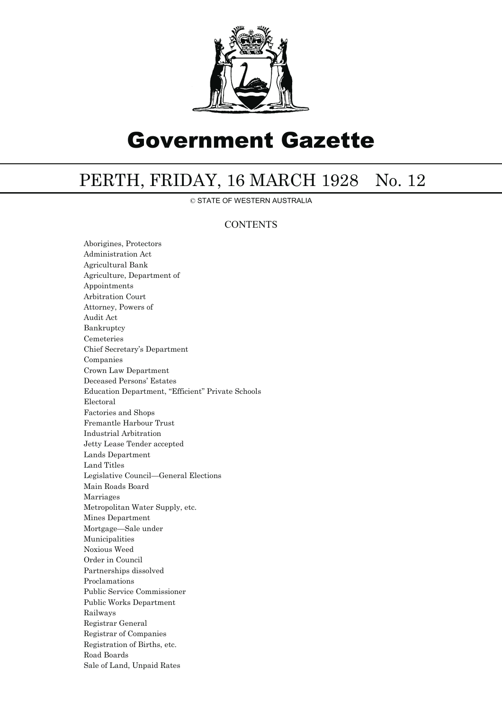

# Government Gazette

## PERTH, FRIDAY, 16 MARCH 1928 No. 12

© STATE OF WESTERN AUSTRALIA

### **CONTENTS**

Aborigines, Protectors Administration Act Agricultural Bank Agriculture, Department of Appointments Arbitration Court Attorney, Powers of Audit Act Bankruptcy Cemeteries Chief Secretary's Department Companies Crown Law Department Deceased Persons' Estates Education Department, "Efficient" Private Schools Electoral Factories and Shops Fremantle Harbour Trust Industrial Arbitration Jetty Lease Tender accepted Lands Department Land Titles Legislative Council—General Elections Main Roads Board Marriages Metropolitan Water Supply, etc. Mines Department Mortgage—Sale under Municipalities Noxious Weed Order in Council Partnerships dissolved Proclamations Public Service Commissioner Public Works Department Railways Registrar General Registrar of Companies Registration of Births, etc. Road Boards Sale of Land, Unpaid Rates